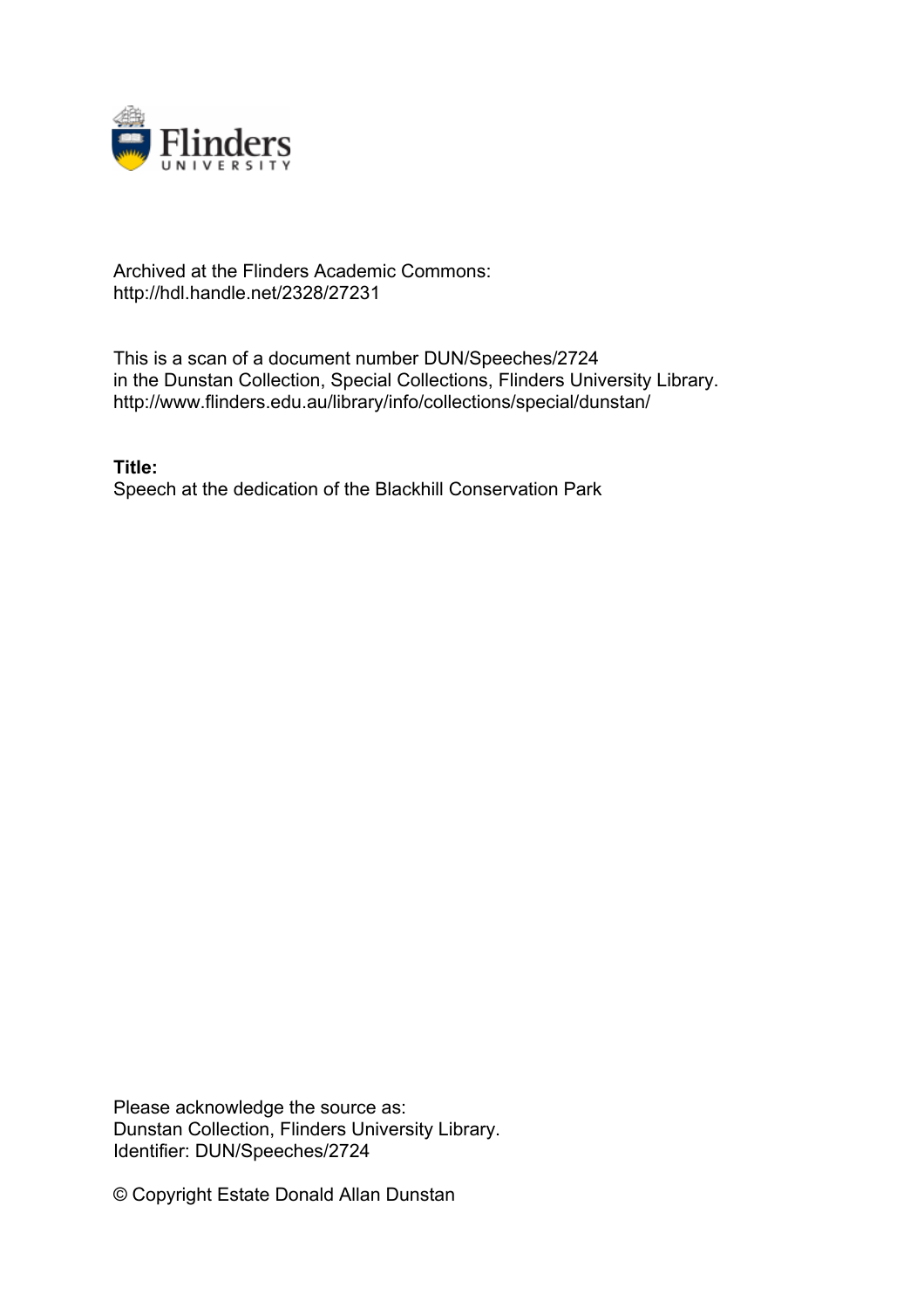

## Archived at the Flinders Academic Commons: http://hdl.handle.net/2328/27231

This is a scan of a document number DUN/Speeches/2724 in the Dunstan Collection, Special Collections, Flinders University Library. http://www.flinders.edu.au/library/info/collections/special/dunstan/

**Title:** Speech at the dedication of the Blackhill Conservation Park

Please acknowledge the source as: Dunstan Collection, Flinders University Library. Identifier: DUN/Speeches/2724

© Copyright Estate Donald Allan Dunstan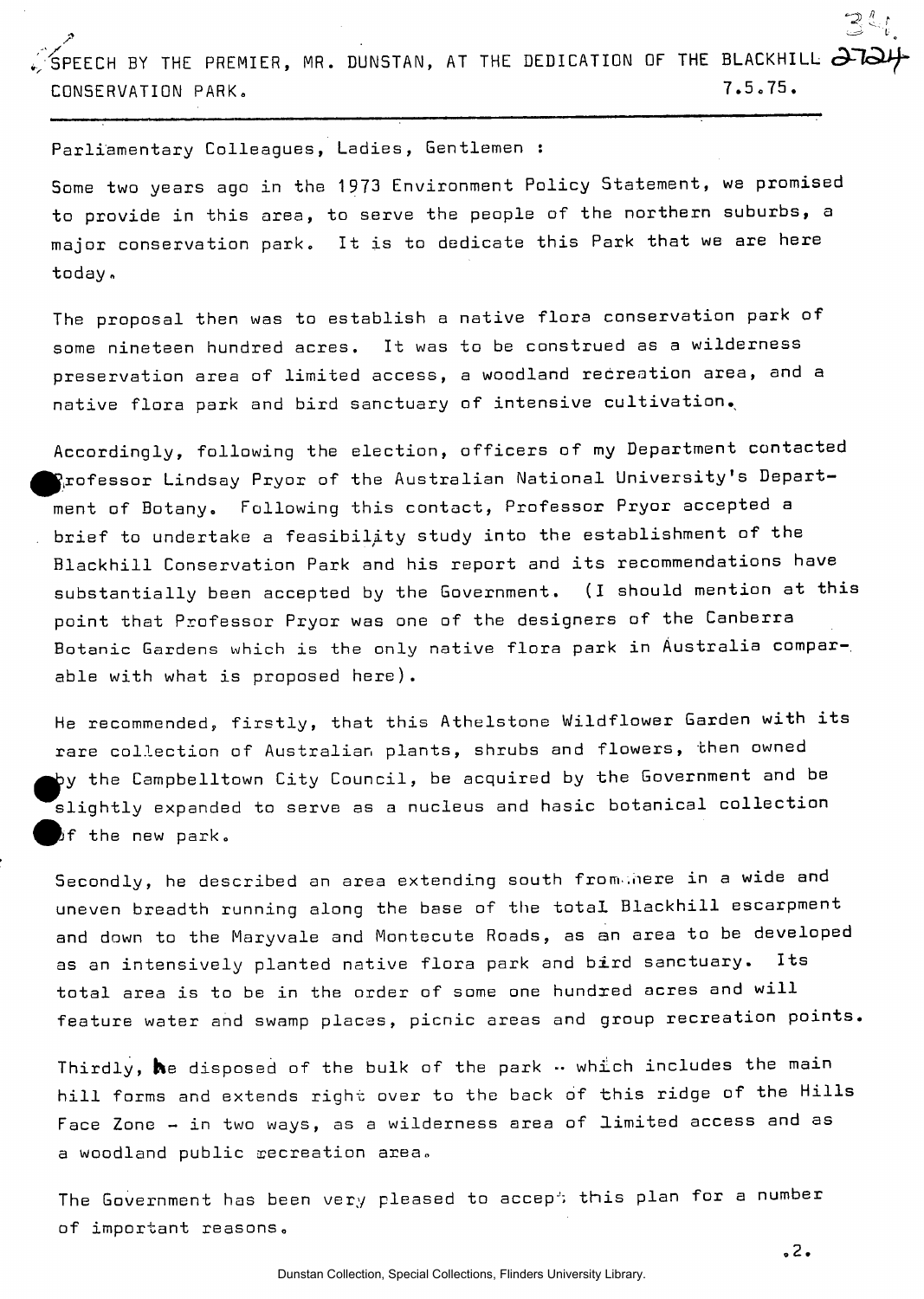SPEECH BY THE PREMIER, MR. DUNSTAN, AT THE DEDICATION OF THE BLACKHILL  $\partial$   $\!$ CONSERVATION PARK. 7.5.75.

Parliamentary Colleagues, Ladies, Gentlemen :

Some two years ago in the 1973 Environment Policy Statement, we promised to provide in this area, to serve the people of the northern suburbs, a major conservation park. It is to dedicate this Park that we are here today.

The proposal then was to establish a native flora conservation park of some nineteen hundred acres. It was to be construed as a wilderness preservation area of limited access, a woodland recreation area, and a native flora park and bird sanctuary of intensive cultivation.

Accordingly, following the election, officers of my Department contacted  $\mathbf{P}_i$ rofessor Lindsay Pryor of the Australian National University's Department of Botany. Following this contact, Professor Pryor accepted a brief to undertake a feasibility study into the establishment of the Blackhill Conservation Park and his report and its recommendations have substantially been accepted by the Government. (I should mention at this point that Professor Pryor was one of the designers of the Canberra **Botanic** Gardens which is the only native flora park in Australia comparable with what is proposed here).

He recommended, firstly, that this Athelstone Wildflower Garden with its rare collection of Australian plants, shrubs and flowers, then owned >y the Campbelltown City Council, be acquired by the Government and be slightly expanded to serve as a nucleus and hasic botanical collection  $\beta$ f the new park.

Secondly, he described an area extending south from nere in a wide and uneven breadth running along the base of the total Blackhill escarpment and down to the Maryvale and Montecute Roads, as an area to be developed as an intensively planted native flora park and bird sanctuary. Its total area is to be in the order of some one hundred acres and will feature water and swamp places, picnic areas and group recreation points.

Thirdly,  $\boldsymbol{h}$ e disposed of the bulk of the park  $\cdots$  which includes the main hill forms and extends right over to the back of this ridge of the Hills Face Zone - in two ways, as a wilderness area of limited access and as a woodland public recreation area.

The Government has been very pleased to accept this plan for a number of important reasons.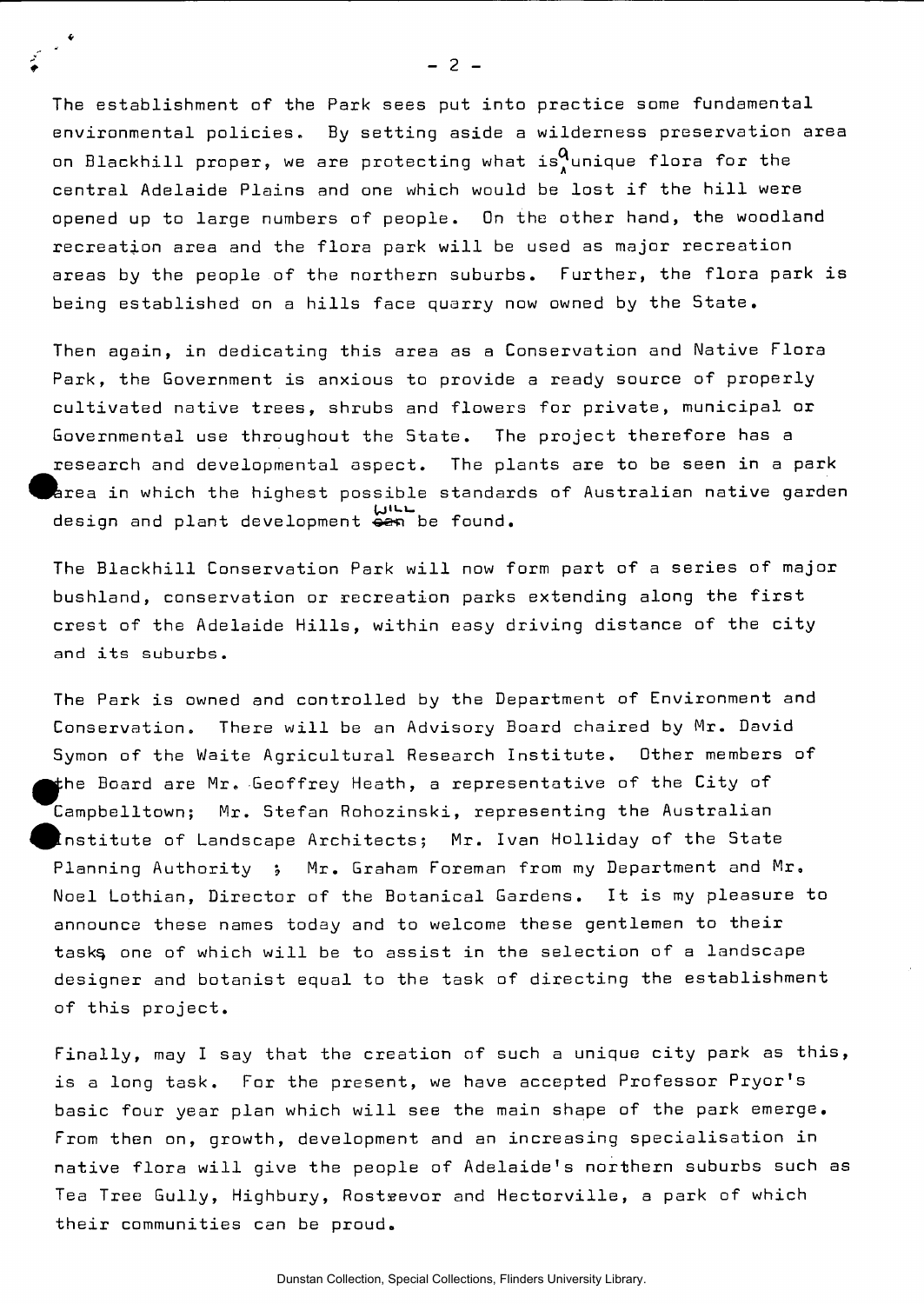The establishment of the Park sees put into practice some fundamental environmental policies. By setting aside a wilderness preservation area on Blackhill proper, we are protecting what is  $^{\mathbf{Q}}$ unique flora for the central Adelaide Plains and one which would be lost if the hill were opened up to large numbers of people. On the other hand, the woodland recreation area and the flora park will be used as major recreation areas by the people of the northern suburbs. Further, the flora park is being established on a hills face quarry now owned by the State.

Then again, in dedicating this area as a Conservation and Native Flora Park, the Government is anxious to provide a ready source of properly cultivated native trees, shrubs and flowers for private, municipal or Governmental use throughout the State. The project therefore has a research and developmental aspect. The plants are to be seen in a park ferea in which the highest possible standards of Australian native garden U ,UIdesign and plant development <del>ca</del>n be found.

The Blackhill Conservation Park will now form part of a series of major bushland, conservation or recreation parks extending along the first crest of the Adelaide Hills, within easy driving distance of the city and its suburbs.

The Park is owned and controlled by the Department of Environment and Conservation. There will be an Advisory Board chaired by Mr. David Symon of the Waite Agricultural Research Institute. Other members of the Board are Mr. Geoffrey Heath, a representative of the City of Campbelltown; Mr. Stefan Rohozinski, representing the Australian institute of Landscape Architects; Mr. Ivan Holliday of the State Planning Authority ; Mr. Graham Foreman from my Department and Mr. Noel Lothian, Director of the Botanical Gardens. It is my pleasure to announce these names today and to welcome these gentlemen to their task§ one of which will be to assist in the selection of a landscape designer and botanist equal to the task of directing the establishment of this project.

Finally, may I say that the creation of such a unique city park as this, is a long task. For the present, we have accepted Professor Pryor's basic four year plan which will see the main shape of the park emerge. From then on, growth, development and an increasing specialisation in native flora will give the people of Adelaide's northern suburbs such as Tea Tree Gully, Highbury, Rosteevor and Hectorville, a park of which their communities can be proud.

Dunstan Collection, Special Collections, Flinders University Library.

 $- 2 -$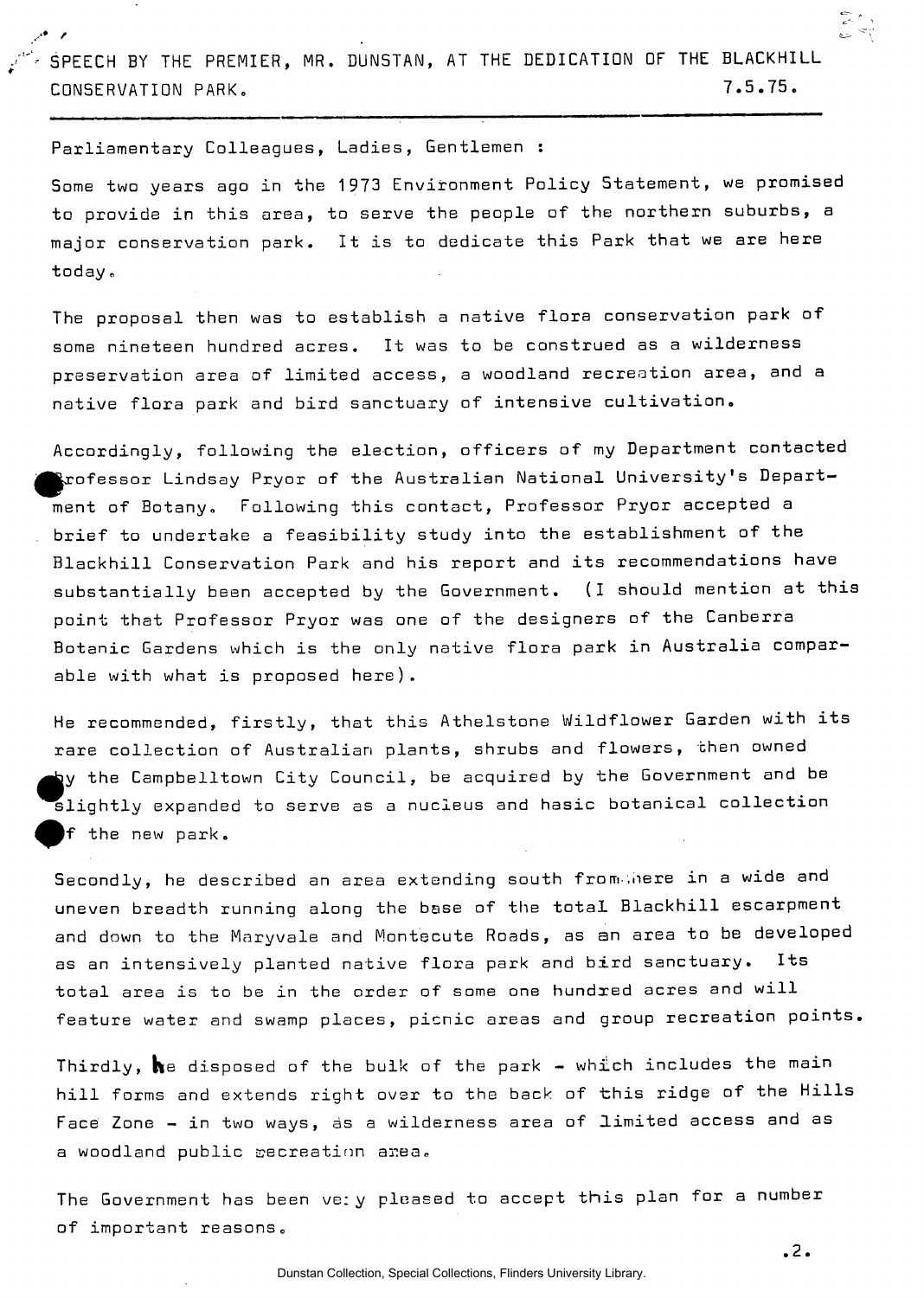SPEECH BY THE PREMIER, MR. DUNSTAN, AT THE DEDICATION OF THE BLACKHILL CONSERVATION PARK. 7.5.75.

Parliamentary Colleagues, Ladies, Gentlemen :

Some two years ago in the 1973 Environment Policy Statement, we promised to provide in this area, to serve the people of the northern suburbs, a major conservation park. It is to dedicate this Park that we are here today.

The proposal then was to establish a native flora conservation park of some nineteen hundred acres. It was to be construed as a wilderness preservation area of limited access, a woodland recreation area, and a native flora park and bird sanctuary of intensive cultivation.

Accordingly, following the election, officers of my Department contacted  $\blacktriangleright$ rofessor Lindsay Pryor of the Australian National University's Department of Botany, Following this contact, Professor Pryor accepted a brief to undertake a feasibility study into the establishment of the Blackhill Conservation Park and his report and its recommendations have substantially been accepted by the Government. (I should mention at this point that Professor Pryor was one of the designers of the Canberra Botanic Gardens which is the only native flora park in Australia comparable with what is proposed here).

He recommended, firstly, that this Athelstone Wildflower Garden with its rare collection of Australian plants, shrubs and flowers, then owned by the Campbelltown City Council, be acquired by the Government and be  ${\sf slightly}$  expanded to serve as a nucleus and hasic botanical collection |f the new park.

Secondly, he described an area extending south from nere in a wide and uneven breadth running along the base of the total Blackhill escarpment and down to the Maryvale and Montecute Roads, as an area to be developed as an intensively planted native flora park and bird sanctuary. total area is to be in the order of some one hundred acres and will feature water and swamp places, picnic areas and group recreation points.

Thirdly,  $\boldsymbol{h}$ e disposed of the bulk of the park - which includes the main hill forms and extends right over to the back of this ridge of the Hills Face Zone - in two ways, as a wilderness area of limited access and as a woodland public secreatinn area,

The Government has been ve: y pleased to accept this plan for a number of important reasons.